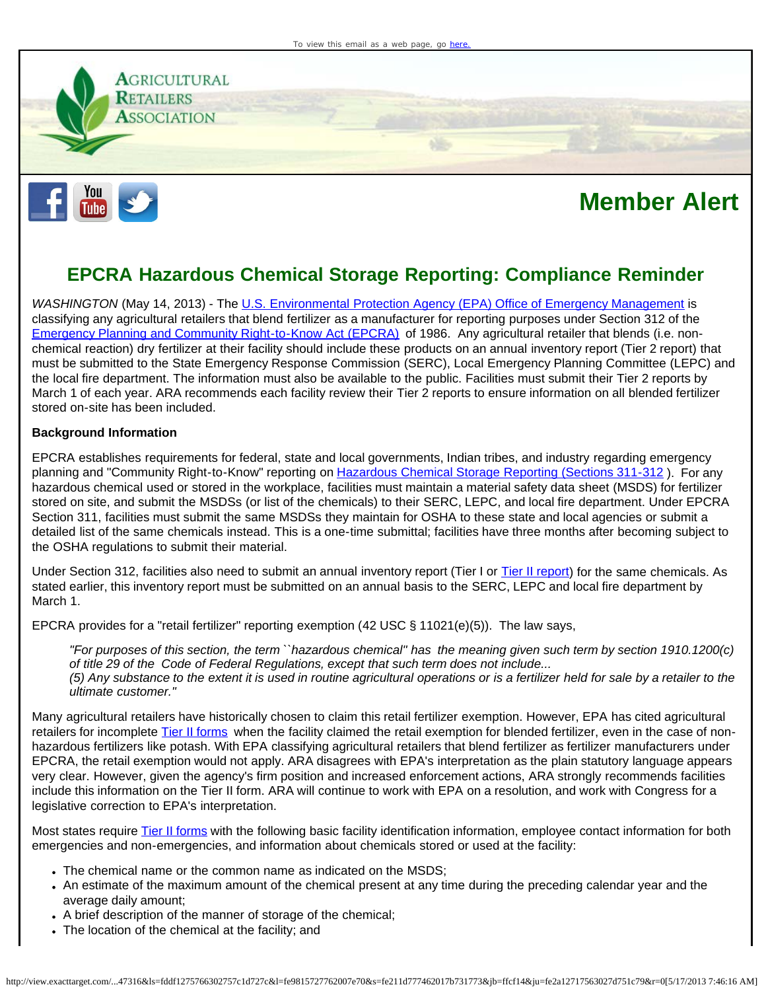

## **Member Alert**

## **EPCRA Hazardous Chemical Storage Reporting: Compliance Reminder**

*WASHINGTON* (May 14, 2013) - The [U.S. Environmental Protection Agency \(EPA\) Office of Emergency Management](http://cl.exct.net/?qs=4bdc70cf6ebbb527e1a9906b0579ba359b04ec2e7de6a3e27b12ddc5fde82cd3) is classifying any agricultural retailers that blend fertilizer as a manufacturer for reporting purposes under Section 312 of the [Emergency Planning and Community Right-to-Know Act \(EPCRA\)](http://cl.exct.net/?qs=4bdc70cf6ebbb52786719ba72f3bc83cc78120624926fd8fede2059d1262997e) of 1986. Any agricultural retailer that blends (i.e. nonchemical reaction) dry fertilizer at their facility should include these products on an annual inventory report (Tier 2 report) that must be submitted to the State Emergency Response Commission (SERC), Local Emergency Planning Committee (LEPC) and the local fire department. The information must also be available to the public. Facilities must submit their Tier 2 reports by March 1 of each year. ARA recommends each facility review their Tier 2 reports to ensure information on all blended fertilizer stored on-site has been included.

## **Background Information**

EPCRA establishes requirements for federal, state and local governments, Indian tribes, and industry regarding emergency planning and "Community Right-to-Know" reporting on [Hazardous Chemical Storage Reporting \(Sections 311-312](http://cl.exct.net/?qs=4bdc70cf6ebbb527b2ddd595ffa1f7de9b4812bfe59c11f2ca8fae7de75af32c) ). For any hazardous chemical used or stored in the workplace, facilities must maintain a material safety data sheet (MSDS) for fertilizer stored on site, and submit the MSDSs (or list of the chemicals) to their SERC, LEPC, and local fire department. Under EPCRA Section 311, facilities must submit the same MSDSs they maintain for OSHA to these state and local agencies or submit a detailed list of the same chemicals instead. This is a one-time submittal; facilities have three months after becoming subject to the OSHA regulations to submit their material.

Under Section 312, facilities also need to submit an annual inventory report (Tier I or [Tier II report](http://cl.exct.net/?qs=4bdc70cf6ebbb52706469aebcb35424db866909689068584a8a00cd441b5c5e3)) for the same chemicals. As stated earlier, this inventory report must be submitted on an annual basis to the SERC, LEPC and local fire department by March 1.

EPCRA provides for a "retail fertilizer" reporting exemption (42 USC § 11021(e)(5)). The law says,

*"For purposes of this section, the term ``hazardous chemical'' has the meaning given such term by section 1910.1200(c) of title 29 of the Code of Federal Regulations, except that such term does not include... (5) Any substance to the extent it is used in routine agricultural operations or is a fertilizer held for sale by a retailer to the ultimate customer."*

Many agricultural retailers have historically chosen to claim this retail fertilizer exemption. However, EPA has cited agricultural retailers for incomplete [Tier II forms](http://cl.exct.net/?qs=4bdc70cf6ebbb52706469aebcb35424db866909689068584a8a00cd441b5c5e3) when the facility claimed the retail exemption for blended fertilizer, even in the case of nonhazardous fertilizers like potash. With EPA classifying agricultural retailers that blend fertilizer as fertilizer manufacturers under EPCRA, the retail exemption would not apply. ARA disagrees with EPA's interpretation as the plain statutory language appears very clear. However, given the agency's firm position and increased enforcement actions, ARA strongly recommends facilities include this information on the Tier II form. ARA will continue to work with EPA on a resolution, and work with Congress for a legislative correction to EPA's interpretation.

Most states require [Tier II forms](http://cl.exct.net/?qs=4bdc70cf6ebbb52706469aebcb35424db866909689068584a8a00cd441b5c5e3) with the following basic facility identification information, employee contact information for both emergencies and non-emergencies, and information about chemicals stored or used at the facility:

- The chemical name or the common name as indicated on the MSDS;
- An estimate of the maximum amount of the chemical present at any time during the preceding calendar year and the average daily amount;
- A brief description of the manner of storage of the chemical;
- The location of the chemical at the facility; and